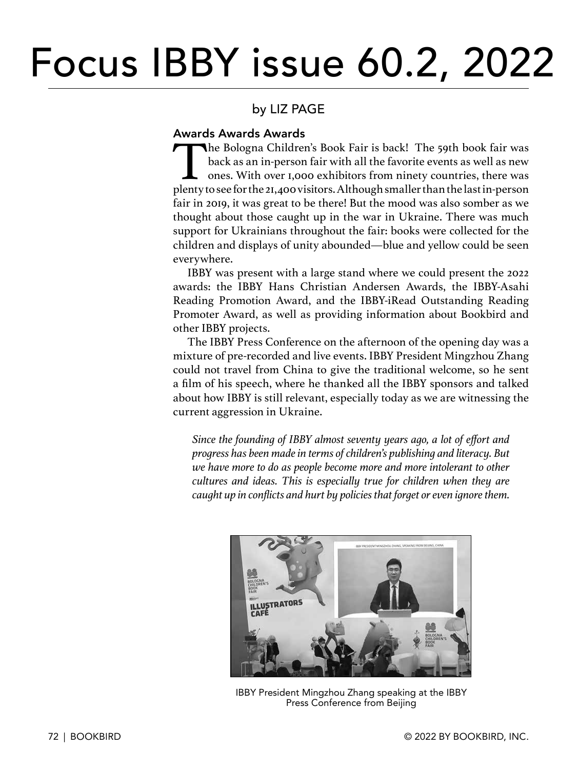# Focus IBBY issue 60.2, 2022

### by LIZ PAGE

#### Awards Awards Awards

The Bologna Children's Book Fair is back! The 59th book fair was<br>back as an in-person fair with all the favorite events as well as new<br>ones. With over 1,000 exhibitors from ninety countries, there was<br>plenty to see for the back as an in-person fair with all the favorite events as well as new ones. With over 1,000 exhibitors from ninety countries, there was plenty to see for the 21,400 visitors. Although smaller than the last in-person fair in 2019, it was great to be there! But the mood was also somber as we thought about those caught up in the war in Ukraine. There was much support for Ukrainians throughout the fair: books were collected for the children and displays of unity abounded—blue and yellow could be seen everywhere.

IBBY was present with a large stand where we could present the 2022 awards: the IBBY Hans Christian Andersen Awards, the IBBY-Asahi Reading Promotion Award, and the IBBY-iRead Outstanding Reading Promoter Award, as well as providing information about Bookbird and other IBBY projects.

The IBBY Press Conference on the afternoon of the opening day was a mixture of pre-recorded and live events. IBBY President Mingzhou Zhang could not travel from China to give the traditional welcome, so he sent a film of his speech, where he thanked all the IBBY sponsors and talked about how IBBY is still relevant, especially today as we are witnessing the current aggression in Ukraine.

*Since the founding of IBBY almost seventy years ago, a lot of effort and progress has been made in terms of children's publishing and literacy. But we have more to do as people become more and more intolerant to other cultures and ideas. This is especially true for children when they are caught up in conflicts and hurt by policies that forget or even ignore them.* 



IBBY President Mingzhou Zhang speaking at the IBBY Press Conference from Beijing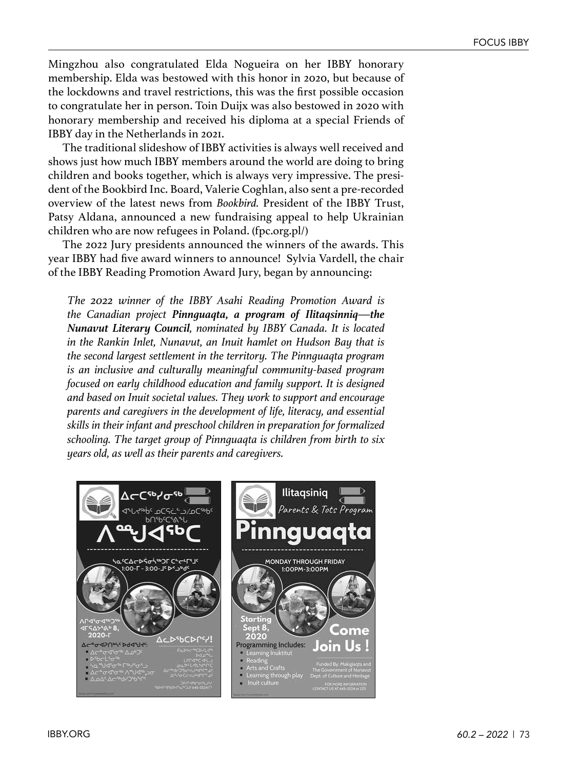Mingzhou also congratulated Elda Nogueira on her IBBY honorary membership. Elda was bestowed with this honor in 2020, but because of the lockdowns and travel restrictions, this was the first possible occasion to congratulate her in person. Toin Duijx was also bestowed in 2020 with honorary membership and received his diploma at a special Friends of IBBY day in the Netherlands in 2021.

The traditional slideshow of IBBY activities is always well received and shows just how much IBBY members around the world are doing to bring children and books together, which is always very impressive. The president of the Bookbird Inc. Board, Valerie Coghlan, also sent a pre-recorded overview of the latest news from *Bookbird.* President of the IBBY Trust, Patsy Aldana, announced a new fundraising appeal to help Ukrainian children who are now refugees in Poland. (fpc.org.pl/)

The 2022 Jury presidents announced the winners of the awards. This year IBBY had five award winners to announce! Sylvia Vardell, the chair of the IBBY Reading Promotion Award Jury, began by announcing:

*The 2022 winner of the IBBY Asahi Reading Promotion Award is the Canadian project Pinnguaqta, a program of Ilitaqsinniq—the Nunavut Literary Council, nominated by IBBY Canada. It is located in the Rankin Inlet, Nunavut, an Inuit hamlet on Hudson Bay that is the second largest settlement in the territory. The Pinnguaqta program is an inclusive and culturally meaningful community-based program focused on early childhood education and family support. It is designed and based on Inuit societal values. They work to support and encourage parents and caregivers in the development of life, literacy, and essential skills in their infant and preschool children in preparation for formalized schooling. The target group of Pinnguaqta is children from birth to six years old, as well as their parents and caregivers.* 

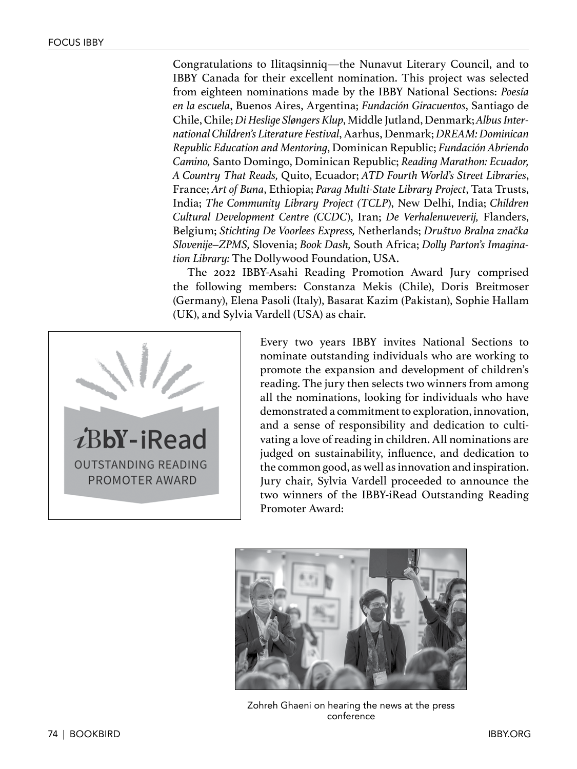Congratulations to Ilitaqsinniq—the Nunavut Literary Council, and to IBBY Canada for their excellent nomination. This project was selected from eighteen nominations made by the IBBY National Sections: *Poesía en la escuela*, Buenos Aires, Argentina; *Fundación Giracuentos*, Santiago de Chile, Chile; *Di Heslige Sløngers Klup*, Middle Jutland, Denmark; *Albus International Children's Literature Festival*, Aarhus, Denmark; *DREAM: Dominican Republic Education and Mentoring*, Dominican Republic; *Fundación Abriendo Camino,* Santo Domingo, Dominican Republic; *Reading Marathon: Ecuador, A Country That Reads,* Quito, Ecuador; *ATD Fourth World's Street Libraries*, France; *Art of Buna*, Ethiopia; *Parag Multi-State Library Project*, Tata Trusts, India; *The Community Library Project (TCLP*), New Delhi, India; *Children Cultural Development Centre (CCDC*), Iran; *De Verhalenweverij,* Flanders, Belgium; *Stichting De Voorlees Express,* Netherlands; *Društvo Bralna značka Slovenije–ZPMS,* Slovenia; *Book Dash,* South Africa; *Dolly Parton's Imagination Library:* The Dollywood Foundation, USA.

The 2022 IBBY-Asahi Reading Promotion Award Jury comprised the following members: Constanza Mekis (Chile), Doris Breitmoser (Germany), Elena Pasoli (Italy), Basarat Kazim (Pakistan), Sophie Hallam (UK), and Sylvia Vardell (USA) as chair.



Every two years IBBY invites National Sections to nominate outstanding individuals who are working to promote the expansion and development of children's reading. The jury then selects two winners from among all the nominations, looking for individuals who have demonstrated a commitment to exploration, innovation, and a sense of responsibility and dedication to cultivating a love of reading in children. All nominations are judged on sustainability, influence, and dedication to the common good, as well as innovation and inspiration. Jury chair, Sylvia Vardell proceeded to announce the two winners of the IBBY-iRead Outstanding Reading Promoter Award:



Zohreh Ghaeni on hearing the news at the press conference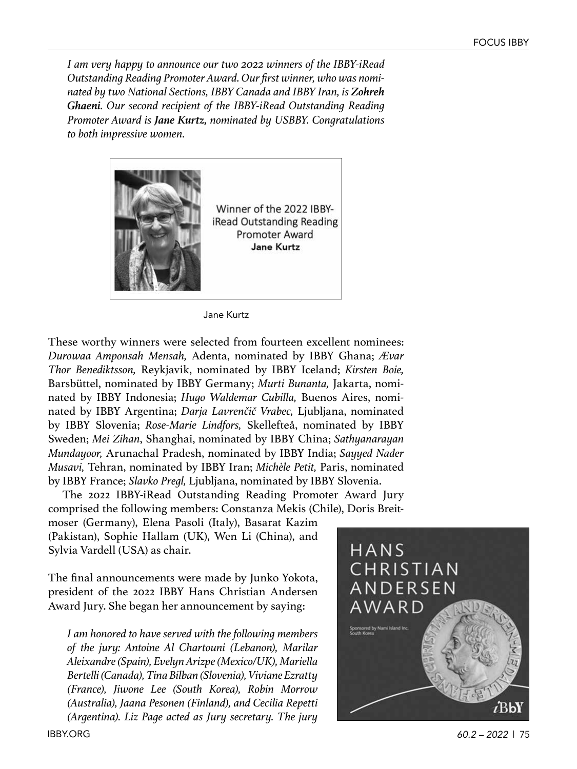*I am very happy to announce our two 2022 winners of the IBBY-iRead Outstanding Reading Promoter Award. Our first winner, who was nominated by two National Sections, IBBY Canada and IBBY Iran, is Zohreh Ghaeni. Our second recipient of the IBBY-iRead Outstanding Reading Promoter Award is Jane Kurtz, nominated by USBBY. Congratulations to both impressive women.*



Jane Kurtz

These worthy winners were selected from fourteen excellent nominees: *Durowaa Amponsah Mensah,* Adenta, nominated by IBBY Ghana; *Ævar Thor Benediktsson,* Reykjavik, nominated by IBBY Iceland; *Kirsten Boie,* Barsbüttel, nominated by IBBY Germany; *Murti Bunanta,* Jakarta, nominated by IBBY Indonesia; *Hugo Waldemar Cubilla,* Buenos Aires, nominated by IBBY Argentina; *Darja Lavrenčič Vrabec,* Ljubljana, nominated by IBBY Slovenia; *Rose-Marie Lindfors,* Skellefteå, nominated by IBBY Sweden; *Mei Zihan*, Shanghai, nominated by IBBY China; *Sathyanarayan Mundayoor,* Arunachal Pradesh, nominated by IBBY India; *Sayyed Nader Musavi,* Tehran, nominated by IBBY Iran; *Michèle Petit,* Paris, nominated by IBBY France; *Slavko Pregl,* Ljubljana, nominated by IBBY Slovenia.

The 2022 IBBY-iRead Outstanding Reading Promoter Award Jury comprised the following members: Constanza Mekis (Chile), Doris Breit-

moser (Germany), Elena Pasoli (Italy), Basarat Kazim (Pakistan), Sophie Hallam (UK), Wen Li (China), and Sylvia Vardell (USA) as chair.

The final announcements were made by Junko Yokota, president of the 2022 IBBY Hans Christian Andersen Award Jury. She began her announcement by saying:

*I am honored to have served with the following members of the jury: Antoine Al Chartouni (Lebanon), Marilar Aleixandre (Spain), Evelyn Arizpe (Mexico/UK), Mariella Bertelli (Canada), Tina Bilban (Slovenia), Viviane Ezratty (France), Jiwone Lee (South Korea), Robin Morrow (Australia), Jaana Pesonen (Finland), and Cecilia Repetti (Argentina). Liz Page acted as Jury secretary. The jury* 



IBBY.ORG *60.2 – 2022* | 75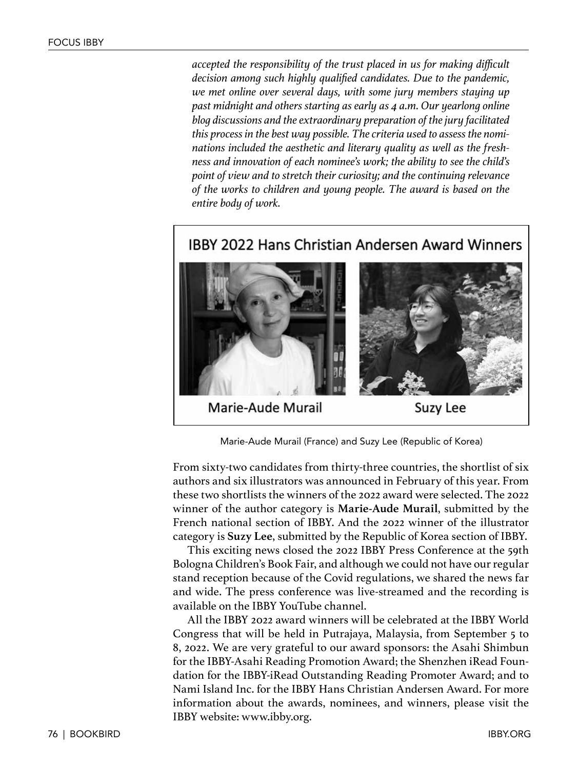*accepted the responsibility of the trust placed in us for making difficult decision among such highly qualified candidates. Due to the pandemic, we met online over several days, with some jury members staying up past midnight and others starting as early as 4 a.m. Our yearlong online blog discussions and the extraordinary preparation of the jury facilitated this process in the best way possible. The criteria used to assess the nominations included the aesthetic and literary quality as well as the freshness and innovation of each nominee's work; the ability to see the child's point of view and to stretch their curiosity; and the continuing relevance of the works to children and young people. The award is based on the entire body of work.*

## IBBY 2022 Hans Christian Andersen Award Winners



Marie-Aude Murail (France) and Suzy Lee (Republic of Korea)

From sixty-two candidates from thirty-three countries, the shortlist of six authors and six illustrators was announced in February of this year. From these two shortlists the winners of the 2022 award were selected. The 2022 winner of the author category is **Marie-Aude Murail**, submitted by the French national section of IBBY. And the 2022 winner of the illustrator category is **Suzy Lee**, submitted by the Republic of Korea section of IBBY.

This exciting news closed the 2022 IBBY Press Conference at the 59th Bologna Children's Book Fair, and although we could not have our regular stand reception because of the Covid regulations, we shared the news far and wide. The press conference was live-streamed and the recording is available on the IBBY YouTube channel.

All the IBBY 2022 award winners will be celebrated at the IBBY World Congress that will be held in Putrajaya, Malaysia, from September 5 to 8, 2022. We are very grateful to our award sponsors: the Asahi Shimbun for the IBBY-Asahi Reading Promotion Award; the Shenzhen iRead Foundation for the IBBY-iRead Outstanding Reading Promoter Award; and to Nami Island Inc. for the IBBY Hans Christian Andersen Award. For more information about the awards, nominees, and winners, please visit the IBBY website: www.ibby.org.